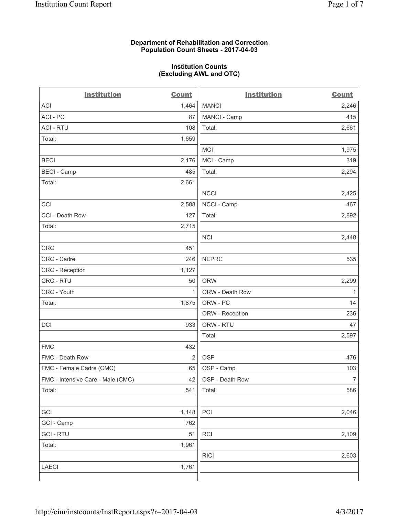### **Department of Rehabilitation and Correction Population Count Sheets - 2017-04-03**

#### **Institution Counts (Excluding AWL and OTC)**

 $-$ 

| <b>Institution</b>                | <b>Count</b>   | <b>Institution</b> | <b>Count</b>   |
|-----------------------------------|----------------|--------------------|----------------|
| ACI                               | 1,464          | <b>MANCI</b>       | 2,246          |
| ACI - PC                          | 87             | MANCI - Camp       | 415            |
| <b>ACI - RTU</b>                  | 108            | Total:             | 2,661          |
| Total:                            | 1,659          |                    |                |
|                                   |                | MCI                | 1,975          |
| <b>BECI</b>                       | 2,176          | MCI - Camp         | 319            |
| <b>BECI</b> - Camp                | 485            | Total:             | 2,294          |
| Total:                            | 2,661          |                    |                |
|                                   |                | <b>NCCI</b>        | 2,425          |
| CCI                               | 2,588          | NCCI - Camp        | 467            |
| CCI - Death Row                   | 127            | Total:             | 2,892          |
| Total:                            | 2,715          |                    |                |
|                                   |                | <b>NCI</b>         | 2,448          |
| <b>CRC</b>                        | 451            |                    |                |
| CRC - Cadre                       | 246            | <b>NEPRC</b>       | 535            |
| CRC - Reception                   | 1,127          |                    |                |
| CRC - RTU                         | 50             | <b>ORW</b>         | 2,299          |
| CRC - Youth                       | $\mathbf{1}$   | ORW - Death Row    | 1              |
| Total:                            | 1,875          | ORW - PC           | 14             |
|                                   |                | ORW - Reception    | 236            |
| DCI                               | 933            | ORW - RTU          | 47             |
|                                   |                | Total:             | 2,597          |
| <b>FMC</b>                        | 432            |                    |                |
| FMC - Death Row                   | $\overline{2}$ | <b>OSP</b>         | 476            |
| FMC - Female Cadre (CMC)          | 65             | OSP - Camp         | 103            |
| FMC - Intensive Care - Male (CMC) | 42             | OSP - Death Row    | $\overline{7}$ |
| Total:                            | 541            | Total:             | 586            |
|                                   |                |                    |                |
| GCI                               | 1,148          | PCI                | 2,046          |
| GCI - Camp                        | 762            |                    |                |
| <b>GCI-RTU</b>                    | 51             | RCI                | 2,109          |
| Total:                            | 1,961          |                    |                |
|                                   |                | <b>RICI</b>        | 2,603          |
| LAECI                             | 1,761          |                    |                |
|                                   |                |                    |                |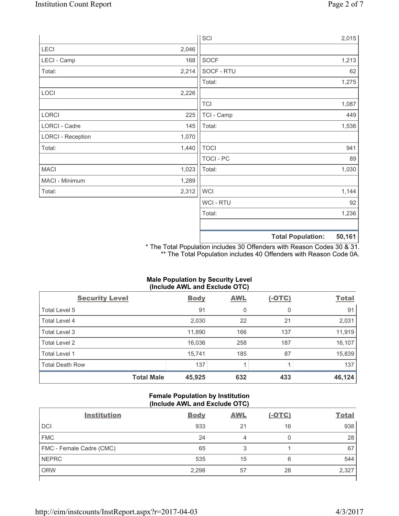|                          |       | SCI            |                          | 2,015  |
|--------------------------|-------|----------------|--------------------------|--------|
| LECI                     | 2,046 |                |                          |        |
| LECI - Camp              | 168   | SOCF           |                          | 1,213  |
| Total:                   | 2,214 | SOCF - RTU     |                          | 62     |
|                          |       | Total:         |                          | 1,275  |
| LOCI                     | 2,226 |                |                          |        |
|                          |       | <b>TCI</b>     |                          | 1,087  |
| LORCI                    | 225   | TCI - Camp     |                          | 449    |
| LORCI - Cadre            | 145   | Total:         |                          | 1,536  |
| <b>LORCI - Reception</b> | 1,070 |                |                          |        |
| Total:                   | 1,440 | <b>TOCI</b>    |                          | 941    |
|                          |       | TOCI - PC      |                          | 89     |
| <b>MACI</b>              | 1,023 | Total:         |                          | 1,030  |
| MACI - Minimum           | 1,289 |                |                          |        |
| Total:                   | 2,312 | <b>WCI</b>     |                          | 1,144  |
|                          |       | <b>WCI-RTU</b> |                          | 92     |
|                          |       | Total:         |                          | 1,236  |
|                          |       |                | <b>Total Population:</b> | 50,161 |

\* The Total Population includes 30 Offenders with Reason Codes 30 & 31. \*\* The Total Population includes 40 Offenders with Reason Code 0A.

# **Male Population by Security Level (Include AWL and Exclude OTC)**

| $\cdot$<br><b>Security Level</b> | <b>Body</b> | . .<br><b>AWL</b> | $(-OTC)$ | <b>Total</b> |
|----------------------------------|-------------|-------------------|----------|--------------|
| Total Level 5                    | 91          | 0                 | 0        | 91           |
| Total Level 4                    | 2,030       | 22                | 21       | 2,031        |
| Total Level 3                    | 11,890      | 166               | 137      | 11,919       |
| Total Level 2                    | 16,036      | 258               | 187      | 16,107       |
| <b>Total Level 1</b>             | 15,741      | 185               | 87       | 15,839       |
| <b>Total Death Row</b>           | 137         |                   |          | 137          |
| <b>Total Male</b>                | 45,925      | 632               | 433      | 46,124       |

## **Female Population by Institution (Include AWL and Exclude OTC)**

| <b>Institution</b>       | <b>Body</b> | <b>AWL</b> | <u>(-OTC)</u> | <b>Total</b> |
|--------------------------|-------------|------------|---------------|--------------|
| <b>DCI</b>               | 933         | 21         | 16            | 938          |
| <b>FMC</b>               | 24          |            | 0             | 28           |
| FMC - Female Cadre (CMC) | 65          | 3          |               | 67           |
| <b>NEPRC</b>             | 535         | 15         | 6             | 544          |
| <b>ORW</b>               | 2,298       | 57         | 28            | 2,327        |
|                          |             |            |               |              |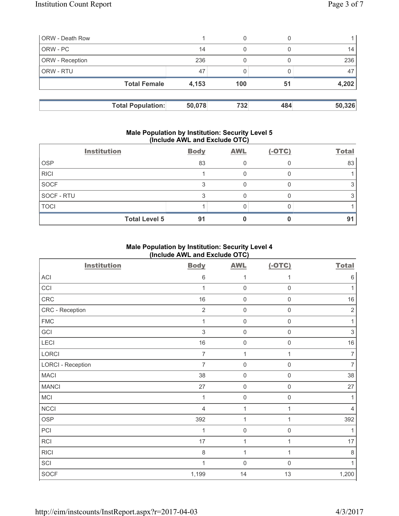| <b>ORW</b> - Death Row   |        | 0   |     |        |
|--------------------------|--------|-----|-----|--------|
| ORW - PC                 | 14     | 0   |     | 14     |
| ORW - Reception          | 236    | 0   |     | 236    |
| ORW - RTU                | 47     |     |     | 47     |
| <b>Total Female</b>      | 4,153  | 100 | 51  | 4,202  |
|                          |        |     |     |        |
| <b>Total Population:</b> | 50,078 | 732 | 484 | 50,326 |

### **Male Population by Institution: Security Level 5 (Include AWL and Exclude OTC)**

|             | <b>Institution</b>   | <b>Body</b> | <b>AWL</b> | $(-OTC)$ | <b>Total</b> |
|-------------|----------------------|-------------|------------|----------|--------------|
| <b>OSP</b>  |                      | 83          |            |          | 83           |
| <b>RICI</b> |                      |             |            |          |              |
| SOCF        |                      |             |            |          |              |
| SOCF - RTU  |                      |             |            |          |              |
| <b>TOCI</b> |                      |             |            |          |              |
|             | <b>Total Level 5</b> | 91          |            |          | 91           |

# **Male Population by Institution: Security Level 4 (Include AWL and Exclude OTC)**

| <b>Institution</b>       | <b>Body</b>    | <b>AWL</b>          | $(-OTC)$            | <b>Total</b>   |
|--------------------------|----------------|---------------------|---------------------|----------------|
| <b>ACI</b>               | $\,6$          | 1                   | 1                   | $\,6\,$        |
| CCI                      | 1              | $\mathbf 0$         | $\mathsf 0$         | 1              |
| CRC                      | $16$           | $\mathsf 0$         | $\mathsf{O}\xspace$ | $16$           |
| CRC - Reception          | $\overline{2}$ | $\mathbf 0$         | 0                   | $\overline{2}$ |
| <b>FMC</b>               | 1              | $\mathbf 0$         | $\mathsf{O}\xspace$ | 1              |
| GCI                      | $\sqrt{3}$     | $\mathbf 0$         | $\mathsf{O}\xspace$ | $\sqrt{3}$     |
| LECI                     | 16             | $\mathbf 0$         | $\mathsf 0$         | 16             |
| LORCI                    | 7              | 1                   | 1                   | $\overline{7}$ |
| <b>LORCI - Reception</b> | $\overline{7}$ | $\mathbf 0$         | $\mathsf{O}\xspace$ | $\overline{7}$ |
| <b>MACI</b>              | 38             | $\mathsf{O}\xspace$ | $\mathsf{O}\xspace$ | 38             |
| <b>MANCI</b>             | 27             | $\mathbf 0$         | $\mathsf 0$         | 27             |
| MCI                      | 1              | $\mathbf 0$         | 0                   | 1              |
| <b>NCCI</b>              | $\overline{4}$ | $\mathbf{1}$        | 1                   | $\overline{4}$ |
| <b>OSP</b>               | 392            | $\mathbf{1}$        | 1                   | 392            |
| PCI                      | 1              | $\mathsf 0$         | 0                   | 1              |
| RCI                      | 17             | $\mathbf{1}$        | 1                   | 17             |
| <b>RICI</b>              | $\,8\,$        | $\mathbf{1}$        | 1                   | $\,8\,$        |
| SCI                      | 1              | $\mathsf 0$         | $\mathsf{O}\xspace$ | 1              |
| SOCF                     | 1,199          | 14                  | 13                  | 1,200          |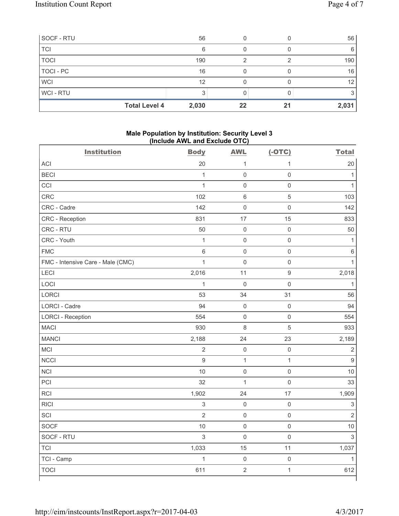| SOCF - RTU  |                      | 56    |    |    | 56              |
|-------------|----------------------|-------|----|----|-----------------|
| <b>TCI</b>  |                      | 6     |    |    | 6               |
| <b>TOCI</b> |                      | 190   | っ  |    | 190             |
| TOCI - PC   |                      | 16    |    |    | 16              |
| <b>WCI</b>  |                      | 12    |    |    | 12 <sub>1</sub> |
| WCI-RTU     |                      |       |    |    |                 |
|             | <b>Total Level 4</b> | 2,030 | 22 | 21 | 2,031           |

#### **Male Population by Institution: Security Level 3 (Include AWL and Exclude OTC)**

| <b>Institution</b>                | <b>Body</b>    | <b>AWL</b>          | $(-OTC)$            | <b>Total</b>   |
|-----------------------------------|----------------|---------------------|---------------------|----------------|
| <b>ACI</b>                        | 20             | 1                   | $\mathbf{1}$        | 20             |
| <b>BECI</b>                       | $\mathbf{1}$   | $\mathsf{O}\xspace$ | $\mathsf{O}\xspace$ | $\mathbf{1}$   |
| CCI                               | $\mathbf{1}$   | $\mathsf{O}\xspace$ | $\mathsf 0$         | $\mathbf{1}$   |
| CRC                               | 102            | $6\phantom{1}6$     | 5                   | 103            |
| CRC - Cadre                       | 142            | $\mathbf 0$         | $\mathsf{O}\xspace$ | 142            |
| CRC - Reception                   | 831            | 17                  | 15                  | 833            |
| CRC - RTU                         | 50             | $\mathbf 0$         | $\mathsf{O}\xspace$ | 50             |
| CRC - Youth                       | $\mathbf{1}$   | $\mathbf 0$         | $\mathsf{O}\xspace$ | $\mathbf{1}$   |
| <b>FMC</b>                        | $\,6\,$        | $\mathbf 0$         | $\mathsf{O}\xspace$ | $\,6\,$        |
| FMC - Intensive Care - Male (CMC) | $\mathbf{1}$   | $\mathbf 0$         | $\mathsf{O}\xspace$ | $\mathbf{1}$   |
| <b>LECI</b>                       | 2,016          | 11                  | $\boldsymbol{9}$    | 2,018          |
| LOCI                              | $\mathbf{1}$   | $\mathbf 0$         | $\mathsf{O}\xspace$ | $\mathbf{1}$   |
| LORCI                             | 53             | 34                  | 31                  | 56             |
| <b>LORCI - Cadre</b>              | 94             | $\mathbf 0$         | $\mathsf{O}\xspace$ | 94             |
| <b>LORCI - Reception</b>          | 554            | $\mathbf 0$         | $\mathsf 0$         | 554            |
| <b>MACI</b>                       | 930            | 8                   | 5                   | 933            |
| <b>MANCI</b>                      | 2,188          | 24                  | 23                  | 2,189          |
| <b>MCI</b>                        | $\overline{2}$ | $\mathsf 0$         | $\mathsf{O}\xspace$ | $\sqrt{2}$     |
| <b>NCCI</b>                       | $\mathsf g$    | $\mathbf 1$         | $\mathbf{1}$        | $\mathsf g$    |
| <b>NCI</b>                        | 10             | $\mathsf{O}\xspace$ | $\mathsf{O}\xspace$ | 10             |
| PCI                               | 32             | $\mathbf{1}$        | $\mathsf{O}\xspace$ | 33             |
| RCI                               | 1,902          | 24                  | 17                  | 1,909          |
| <b>RICI</b>                       | $\mathsf 3$    | $\mathbf 0$         | $\mathsf 0$         | $\sqrt{3}$     |
| SCI                               | $\overline{2}$ | $\mathsf 0$         | $\mathsf{O}\xspace$ | $\overline{2}$ |
| <b>SOCF</b>                       | 10             | $\mathbf 0$         | $\mathsf{O}\xspace$ | 10             |
| SOCF - RTU                        | $\mathfrak{S}$ | $\mathbf 0$         | $\mathsf{O}\xspace$ | 3              |
| <b>TCI</b>                        | 1,033          | 15                  | 11                  | 1,037          |
| TCI - Camp                        | $\overline{1}$ | $\mathsf{O}\xspace$ | $\mathsf{O}\xspace$ | $\mathbf{1}$   |
| <b>TOCI</b>                       | 611            | $\sqrt{2}$          | $\mathbf{1}$        | 612            |
|                                   |                |                     |                     |                |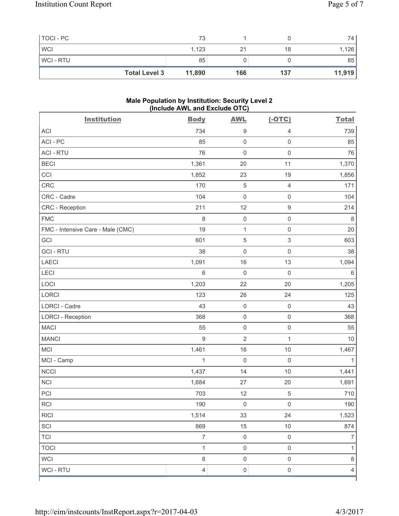| TOCI - PC  |                      | 73     |     |     | 74     |
|------------|----------------------|--------|-----|-----|--------|
| <b>WCI</b> |                      | 1,123  |     | 18  | 1,126  |
| WCI - RTU  |                      | 85     |     |     | 85     |
|            | <b>Total Level 3</b> | 11,890 | 166 | 137 | 11,919 |

#### **Male Population by Institution: Security Level 2 (Include AWL and Exclude OTC)**

| <b>Institution</b>                | <b>Body</b>    | <b>AWL</b>          | $(-OTC)$                  | <b>Total</b>   |
|-----------------------------------|----------------|---------------------|---------------------------|----------------|
| <b>ACI</b>                        | 734            | $\boldsymbol{9}$    | 4                         | 739            |
| ACI - PC                          | 85             | $\mathsf 0$         | $\mathsf{O}\xspace$       | 85             |
| <b>ACI - RTU</b>                  | 76             | $\mathbf 0$         | $\mathsf 0$               | 76             |
| <b>BECI</b>                       | 1,361          | 20                  | 11                        | 1,370          |
| CCI                               | 1,852          | 23                  | 19                        | 1,856          |
| CRC                               | 170            | $\sqrt{5}$          | $\overline{4}$            | 171            |
| CRC - Cadre                       | 104            | $\mathsf{O}\xspace$ | $\mathsf 0$               | 104            |
| CRC - Reception                   | 211            | 12                  | $\boldsymbol{9}$          | 214            |
| <b>FMC</b>                        | 8              | $\mathsf{O}\xspace$ | $\mathsf 0$               | 8              |
| FMC - Intensive Care - Male (CMC) | 19             | $\mathbf 1$         | $\mathsf 0$               | 20             |
| GCI                               | 601            | $\sqrt{5}$          | $\ensuremath{\mathsf{3}}$ | 603            |
| <b>GCI-RTU</b>                    | 38             | $\mathsf 0$         | $\mathsf 0$               | 38             |
| <b>LAECI</b>                      | 1,091          | 16                  | 13                        | 1,094          |
| <b>LECI</b>                       | 6              | $\mathsf{O}\xspace$ | $\mathsf 0$               | $\,6$          |
| LOCI                              | 1,203          | 22                  | 20                        | 1,205          |
| LORCI                             | 123            | 26                  | 24                        | 125            |
| LORCI - Cadre                     | 43             | $\mathsf{O}\xspace$ | $\mathsf 0$               | 43             |
| <b>LORCI - Reception</b>          | 368            | $\mathsf{O}\xspace$ | $\mathsf 0$               | 368            |
| <b>MACI</b>                       | 55             | $\mathsf 0$         | $\mathsf 0$               | 55             |
| <b>MANCI</b>                      | $\mathsf g$    | $\overline{2}$      | $\mathbf{1}$              | 10             |
| MCI                               | 1,461          | 16                  | $10$                      | 1,467          |
| MCI - Camp                        | $\mathbf{1}$   | $\mathsf{O}\xspace$ | $\mathbf 0$               | 1              |
| <b>NCCI</b>                       | 1,437          | 14                  | 10                        | 1,441          |
| <b>NCI</b>                        | 1,684          | 27                  | 20                        | 1,691          |
| PCI                               | 703            | 12                  | $\,$ 5 $\,$               | 710            |
| RCI                               | 190            | $\mathsf 0$         | $\mathsf{O}\xspace$       | 190            |
| <b>RICI</b>                       | 1,514          | 33                  | 24                        | 1,523          |
| SCI                               | 869            | 15                  | $10$                      | 874            |
| <b>TCI</b>                        | $\overline{7}$ | $\mathsf{O}\xspace$ | $\mathbf 0$               | $\overline{7}$ |
| <b>TOCI</b>                       | $\mathbf{1}$   | $\mathsf 0$         | $\mathsf 0$               | $\mathbf{1}$   |
| <b>WCI</b>                        | $\,8\,$        | $\mathsf{O}\xspace$ | $\mathsf 0$               | $\,8\,$        |
| WCI - RTU                         | $\overline{4}$ | $\mathsf{O}\xspace$ | $\mathsf 0$               | $\overline{4}$ |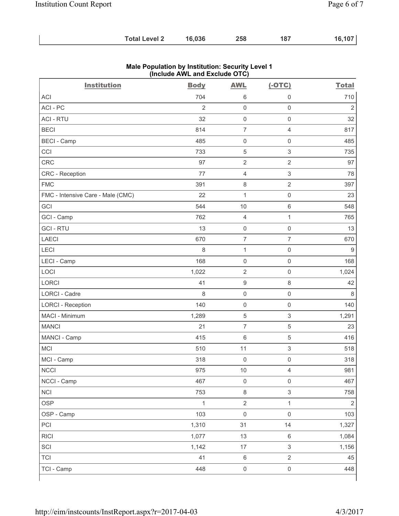| <b>Total Level 2</b> | 16,036 | 258 | -187 | 16,107 |
|----------------------|--------|-----|------|--------|
|----------------------|--------|-----|------|--------|

| <b>Institution</b>                | <b>Body</b>    | <b>AWL</b>               | $(-OTC)$                  | <b>Total</b>   |
|-----------------------------------|----------------|--------------------------|---------------------------|----------------|
| <b>ACI</b>                        | 704            | 6                        | 0                         | 710            |
| ACI-PC                            | $\overline{2}$ | $\mathsf{O}\xspace$      | $\mathsf{O}\xspace$       | $\overline{2}$ |
| <b>ACI - RTU</b>                  | 32             | $\mathsf{O}\xspace$      | $\mathsf{O}\xspace$       | 32             |
| <b>BECI</b>                       | 814            | $\overline{7}$           | 4                         | 817            |
| <b>BECI - Camp</b>                | 485            | $\mathsf{O}\xspace$      | $\mathsf{O}\xspace$       | 485            |
| CCI                               | 733            | 5                        | $\mathsf 3$               | 735            |
| CRC                               | 97             | $\overline{2}$           | $\overline{2}$            | 97             |
| CRC - Reception                   | 77             | $\overline{4}$           | $\ensuremath{\mathsf{3}}$ | 78             |
| <b>FMC</b>                        | 391            | $\,8\,$                  | $\overline{2}$            | 397            |
| FMC - Intensive Care - Male (CMC) | 22             | $\mathbf 1$              | $\mathsf{O}\xspace$       | 23             |
| GCI                               | 544            | 10                       | $\,6\,$                   | 548            |
| GCI - Camp                        | 762            | $\overline{\mathcal{L}}$ | $\mathbf{1}$              | 765            |
| <b>GCI-RTU</b>                    | 13             | $\mathsf{O}\xspace$      | $\mathsf{O}\xspace$       | 13             |
| <b>LAECI</b>                      | 670            | $\boldsymbol{7}$         | $\overline{7}$            | 670            |
| LECI                              | 8              | $\mathbf{1}$             | $\mathsf{O}\xspace$       | $9\,$          |
| LECI - Camp                       | 168            | $\mathsf{O}\xspace$      | $\mathsf{O}\xspace$       | 168            |
| LOCI                              | 1,022          | $\overline{2}$           | $\mathsf{O}\xspace$       | 1,024          |
| <b>LORCI</b>                      | 41             | $\boldsymbol{9}$         | $\,8\,$                   | 42             |
| LORCI - Cadre                     | 8              | $\mathbf 0$              | $\mathsf 0$               | 8              |
| <b>LORCI - Reception</b>          | 140            | $\mathsf{O}\xspace$      | $\mathsf{O}\xspace$       | 140            |
| MACI - Minimum                    | 1,289          | $\sqrt{5}$               | $\ensuremath{\mathsf{3}}$ | 1,291          |
| <b>MANCI</b>                      | 21             | $\overline{7}$           | 5                         | 23             |
| MANCI - Camp                      | 415            | $\,6$                    | $\sqrt{5}$                | 416            |
| MCI                               | 510            | 11                       | $\mathsf 3$               | 518            |
| MCI - Camp                        | 318            | $\mathbf 0$              | $\mathsf 0$               | 318            |
| <b>NCCI</b>                       | 975            | 10                       | 4                         | 981            |
| NCCI - Camp                       | 467            | $\mathsf 0$              | $\mathsf{O}\xspace$       | 467            |
| <b>NCI</b>                        | 753            | $\,8\,$                  | $\mathfrak{S}$            | 758            |
| <b>OSP</b>                        | $\mathbf{1}$   | $\sqrt{2}$               | $\mathbf{1}$              | $\sqrt{2}$     |
| OSP - Camp                        | 103            | $\mathsf{O}\xspace$      | $\mathsf{O}\xspace$       | 103            |
| PCI                               | 1,310          | 31                       | 14                        | 1,327          |
| <b>RICI</b>                       | 1,077          | 13                       | $\,6\,$                   | 1,084          |
| SCI                               | 1,142          | 17                       | $\mathfrak{S}$            | 1,156          |
| <b>TCI</b>                        | 41             | $\,6\,$                  | $\overline{2}$            | 45             |
| TCI - Camp                        | 448            | $\mathsf{O}\xspace$      | $\mathsf{O}\xspace$       | 448            |

## **Male Population by Institution: Security Level 1 (Include AWL and Exclude OTC)**